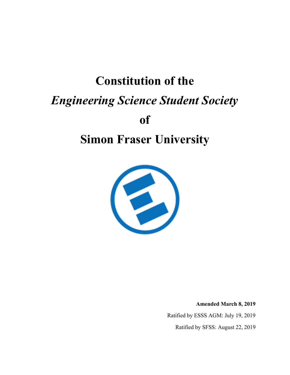# **Constitution of the** *Engineering Science Student Society* **of Simon Fraser University**



**Amended March 8, 2019**

Ratified by ESSS AGM: July 19, 2019

Ratified by SFSS: August 22, 2019